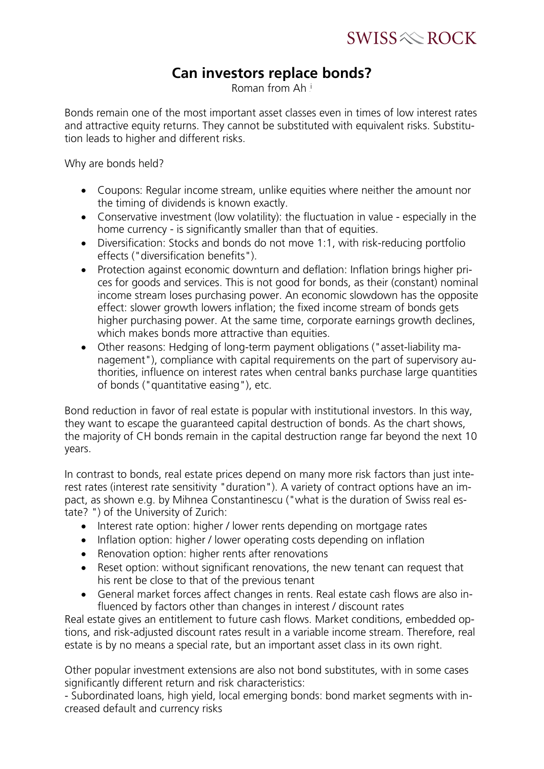$SWISS \otimes \text{ROCK}$ 

## **Can investors replace bonds?**

Roman from Ah!

Bonds remain one of the most important asset classes even in times of low interest rates and attractive equity returns. They cannot be substituted with equivalent risks. Substitution leads to higher and different risks.

Why are bonds held?

- Coupons: Regular income stream, unlike equities where neither the amount nor the timing of dividends is known exactly.
- Conservative investment (low volatility): the fluctuation in value especially in the home currency - is significantly smaller than that of equities.
- Diversification: Stocks and bonds do not move 1:1, with risk-reducing portfolio effects ("diversification benefits").
- Protection against economic downturn and deflation: Inflation brings higher prices for goods and services. This is not good for bonds, as their (constant) nominal income stream loses purchasing power. An economic slowdown has the opposite effect: slower growth lowers inflation; the fixed income stream of bonds gets higher purchasing power. At the same time, corporate earnings growth declines, which makes bonds more attractive than equities.
- Other reasons: Hedging of long-term payment obligations ("asset-liability management"), compliance with capital requirements on the part of supervisory authorities, influence on interest rates when central banks purchase large quantities of bonds ("quantitative easing"), etc.

Bond reduction in favor of real estate is popular with institutional investors. In this way, they want to escape the guaranteed capital destruction of bonds. As the chart shows, the majority of CH bonds remain in the capital destruction range far beyond the next 10 years.

In contrast to bonds, real estate prices depend on many more risk factors than just interest rates (interest rate sensitivity "duration"). A variety of contract options have an impact, as shown e.g. by Mihnea Constantinescu ("what is the duration of Swiss real estate? ") of the University of Zurich:

- Interest rate option: higher / lower rents depending on mortgage rates
- Inflation option: higher / lower operating costs depending on inflation
- Renovation option: higher rents after renovations
- Reset option: without significant renovations, the new tenant can request that his rent be close to that of the previous tenant
- General market forces affect changes in rents. Real estate cash flows are also influenced by factors other than changes in interest / discount rates

Real estate gives an entitlement to future cash flows. Market conditions, embedded options, and risk-adjusted discount rates result in a variable income stream. Therefore, real estate is by no means a special rate, but an important asset class in its own right.

Other popular investment extensions are also not bond substitutes, with in some cases significantly different return and risk characteristics:

- Subordinated loans, high yield, local emerging bonds: bond market segments with increased default and currency risks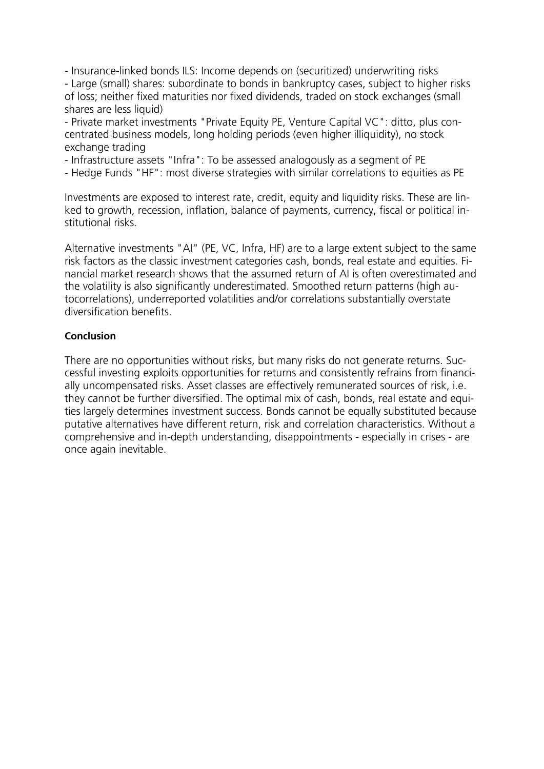- Insurance-linked bonds ILS: Income depends on (securitized) underwriting risks - Large (small) shares: subordinate to bonds in bankruptcy cases, subject to higher risks of loss; neither fixed maturities nor fixed dividends, traded on stock exchanges (small shares are less liquid)

- Private market investments "Private Equity PE, Venture Capital VC": ditto, plus concentrated business models, long holding periods (even higher illiquidity), no stock exchange trading

- Infrastructure assets "Infra": To be assessed analogously as a segment of PE
- Hedge Funds "HF": most diverse strategies with similar correlations to equities as PE

Investments are exposed to interest rate, credit, equity and liquidity risks. These are linked to growth, recession, inflation, balance of payments, currency, fiscal or political institutional risks.

Alternative investments "AI" (PE, VC, Infra, HF) are to a large extent subject to the same risk factors as the classic investment categories cash, bonds, real estate and equities. Financial market research shows that the assumed return of AI is often overestimated and the volatility is also significantly underestimated. Smoothed return patterns (high autocorrelations), underreported volatilities and/or correlations substantially overstate diversification benefits.

## **Conclusion**

There are no opportunities without risks, but many risks do not generate returns. Successful investing exploits opportunities for returns and consistently refrains from financially uncompensated risks. Asset classes are effectively remunerated sources of risk, i.e. they cannot be further diversified. The optimal mix of cash, bonds, real estate and equities largely determines investment success. Bonds cannot be equally substituted because putative alternatives have different return, risk and correlation characteristics. Without a comprehensive and in-depth understanding, disappointments - especially in crises - are once again inevitable.